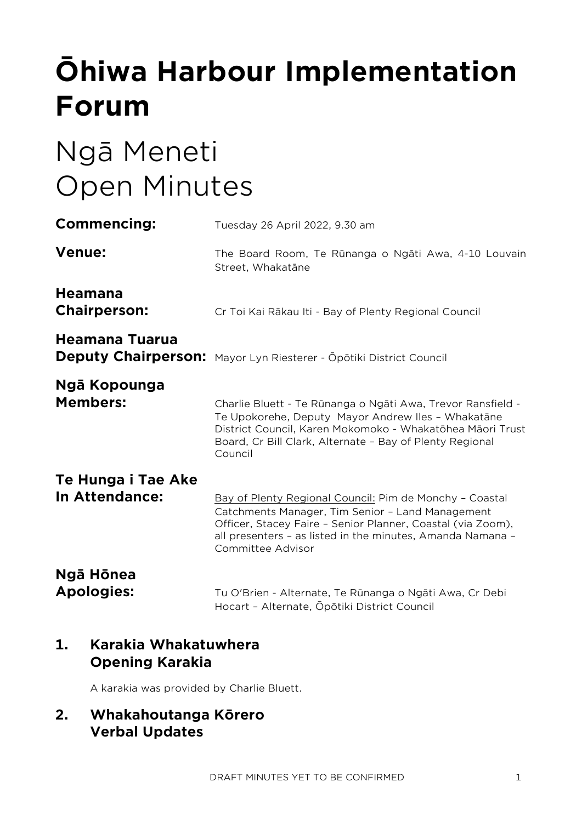# **Ōhiwa Harbour Implementation Forum**

# Ngā Meneti Open Minutes

| <b>Commencing:</b>                    | Tuesday 26 April 2022, 9.30 am                                                                                                                                                                                                                                |
|---------------------------------------|---------------------------------------------------------------------------------------------------------------------------------------------------------------------------------------------------------------------------------------------------------------|
| <b>Venue:</b>                         | The Board Room, Te Rūnanga o Ngāti Awa, 4-10 Louvain<br>Street, Whakatāne                                                                                                                                                                                     |
| <b>Heamana</b><br><b>Chairperson:</b> | Cr Toi Kai Rākau Iti - Bay of Plenty Regional Council                                                                                                                                                                                                         |
| Heamana Tuarua                        | Deputy Chairperson: Mayor Lyn Riesterer - Opōtiki District Council                                                                                                                                                                                            |
| Ngā Kopounga<br><b>Members:</b>       | Charlie Bluett - Te Rūnanga o Ngāti Awa, Trevor Ransfield -<br>Te Upokorehe, Deputy Mayor Andrew Iles - Whakatāne<br>District Council, Karen Mokomoko - Whakatōhea Māori Trust<br>Board, Cr Bill Clark, Alternate - Bay of Plenty Regional<br>Council         |
| Te Hunga i Tae Ake<br>In Attendance:  | Bay of Plenty Regional Council: Pim de Monchy - Coastal<br>Catchments Manager, Tim Senior - Land Management<br>Officer, Stacey Faire - Senior Planner, Coastal (via Zoom),<br>all presenters - as listed in the minutes, Amanda Namana -<br>Committee Advisor |
| Ngā Hōnea<br><b>Apologies:</b>        | Tu O'Brien - Alternate, Te Rūnanga o Ngāti Awa, Cr Debi<br>Hocart - Alternate, Ōpōtiki District Council                                                                                                                                                       |

# **1. Karakia Whakatuwhera Opening Karakia**

A karakia was provided by Charlie Bluett.

# **2. Whakahoutanga Kōrero Verbal Updates**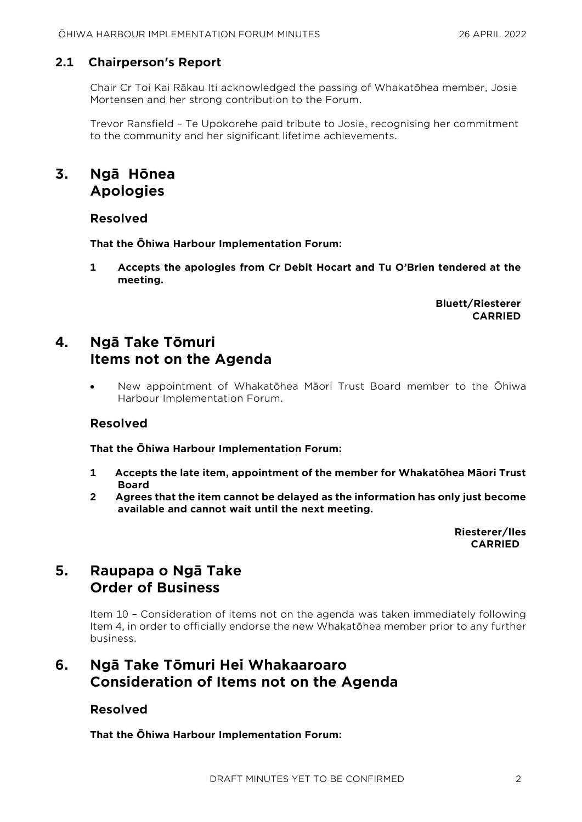# **2.1 Chairperson's Report**

Chair Cr Toi Kai Rākau Iti acknowledged the passing of Whakatōhea member, Josie Mortensen and her strong contribution to the Forum.

Trevor Ransfield – Te Upokorehe paid tribute to Josie, recognising her commitment to the community and her significant lifetime achievements.

# **3. Ngā Hōnea Apologies**

## **Resolved**

**That the Ōhiwa Harbour Implementation Forum:**

**1 Accepts the apologies from Cr Debit Hocart and Tu O'Brien tendered at the meeting.**

> **Bluett/Riesterer CARRIED**

# **4. Ngā Take Tōmuri Items not on the Agenda**

• New appointment of Whakatōhea Māori Trust Board member to the Ōhiwa Harbour Implementation Forum.

## **Resolved**

**That the Ōhiwa Harbour Implementation Forum:**

- **1 Accepts the late item, appointment of the member for Whakatōhea Māori Trust Board**
- **2 Agrees that the item cannot be delayed as the information has only just become available and cannot wait until the next meeting.**

**Riesterer/Iles CARRIED**

# **5. Raupapa o Ngā Take Order of Business**

Item 10 – Consideration of items not on the agenda was taken immediately following Item 4, in order to officially endorse the new Whakatōhea member prior to any further business.

# **6. Ngā Take Tōmuri Hei Whakaaroaro Consideration of Items not on the Agenda**

## **Resolved**

**That the Ōhiwa Harbour Implementation Forum:**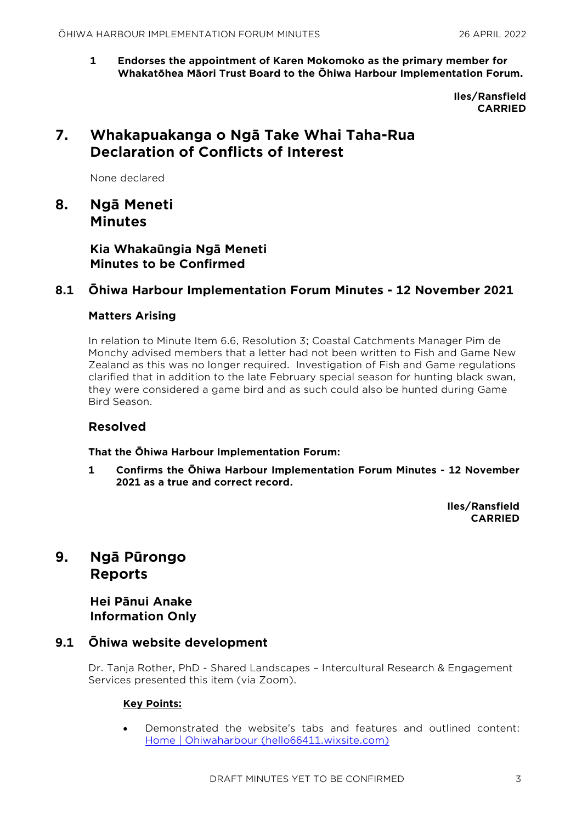**1 Endorses the appointment of Karen Mokomoko as the primary member for Whakatōhea Māori Trust Board to the Ōhiwa Harbour Implementation Forum.**

> **Iles/Ransfield CARRIED**

# **7. Whakapuakanga o Ngā Take Whai Taha-Rua Declaration of Conflicts of Interest**

None declared

**8. Ngā Meneti Minutes**

> **Kia Whakaūngia Ngā Meneti Minutes to be Confirmed**

## **8.1 Ōhiwa Harbour Implementation Forum Minutes - 12 November 2021**

#### **Matters Arising**

In relation to Minute Item 6.6, Resolution 3; Coastal Catchments Manager Pim de Monchy advised members that a letter had not been written to Fish and Game New Zealand as this was no longer required. Investigation of Fish and Game regulations clarified that in addition to the late February special season for hunting black swan, they were considered a game bird and as such could also be hunted during Game Bird Season.

## **Resolved**

**That the Ōhiwa Harbour Implementation Forum:**

**1 Confirms the Ōhiwa Harbour Implementation Forum Minutes - 12 November 2021 as a true and correct record.**

> **Iles/Ransfield CARRIED**

# **9. Ngā Pūrongo Reports**

**Hei Pānui Anake Information Only**

## **9.1 Ōhiwa website development**

Dr. Tanja Rother, PhD - Shared Landscapes – Intercultural Research & Engagement Services presented this item (via Zoom).

#### **Key Points:**

• Demonstrated the website's tabs and features and outlined content: [Home | Ohiwaharbour \(hello66411.wixsite.com\)](https://hello66411.wixsite.com/ohiwahabour)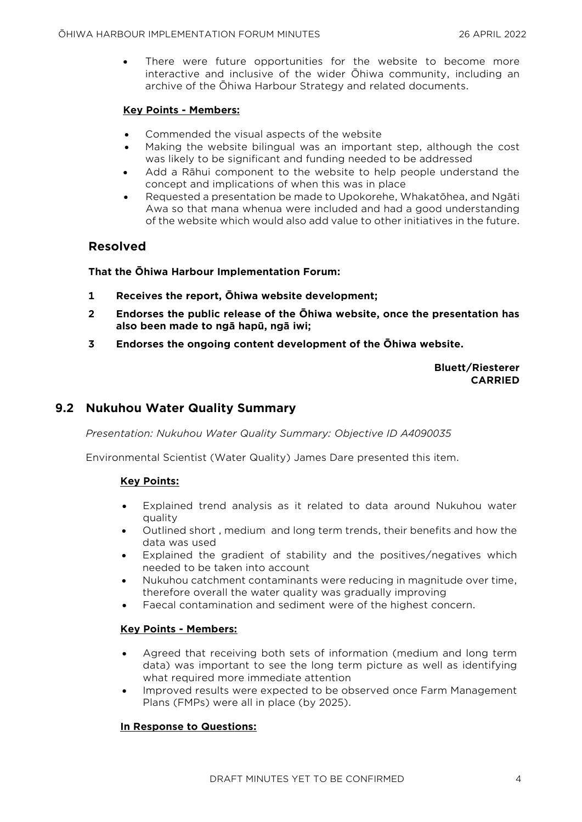There were future opportunities for the website to become more interactive and inclusive of the wider Ōhiwa community, including an archive of the Ōhiwa Harbour Strategy and related documents.

#### **Key Points - Members:**

- Commended the visual aspects of the website
- Making the website bilingual was an important step, although the cost was likely to be significant and funding needed to be addressed
- Add a Rāhui component to the website to help people understand the concept and implications of when this was in place
- Requested a presentation be made to Upokorehe, Whakatōhea, and Ngāti Awa so that mana whenua were included and had a good understanding of the website which would also add value to other initiatives in the future.

## **Resolved**

#### **That the Ōhiwa Harbour Implementation Forum:**

- **1 Receives the report, Ōhiwa website development;**
- **2 Endorses the public release of the Ōhiwa website, once the presentation has also been made to ngā hapū, ngā iwi;**
- **3 Endorses the ongoing content development of the Ōhiwa website.**

#### **Bluett/Riesterer CARRIED**

# **9.2 Nukuhou Water Quality Summary**

*Presentation: Nukuhou Water Quality Summary: Objective ID A4090035* 

Environmental Scientist (Water Quality) James Dare presented this item.

#### **Key Points:**

- Explained trend analysis as it related to data around Nukuhou water quality
- Outlined short , medium and long term trends, their benefits and how the data was used
- Explained the gradient of stability and the positives/negatives which needed to be taken into account
- Nukuhou catchment contaminants were reducing in magnitude over time, therefore overall the water quality was gradually improving
- Faecal contamination and sediment were of the highest concern.

#### **Key Points - Members:**

- Agreed that receiving both sets of information (medium and long term data) was important to see the long term picture as well as identifying what required more immediate attention
- Improved results were expected to be observed once Farm Management Plans (FMPs) were all in place (by 2025).

#### **In Response to Questions:**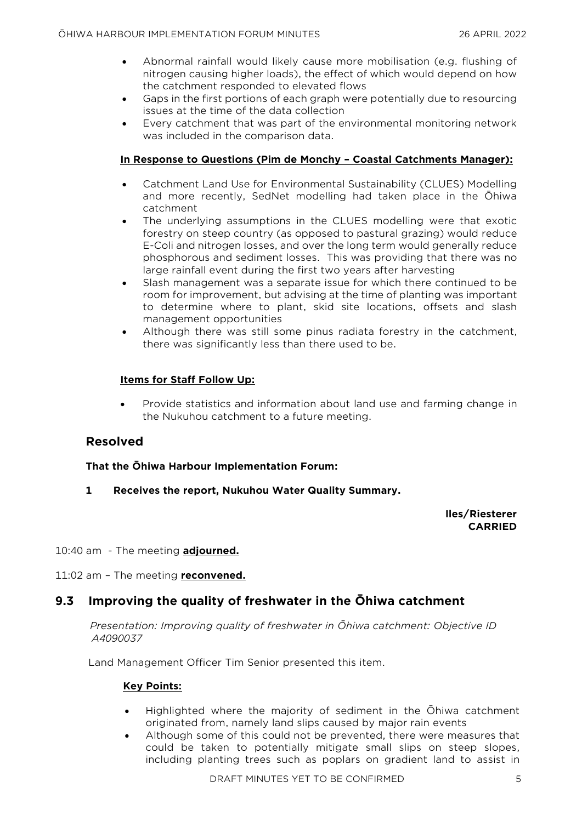- Abnormal rainfall would likely cause more mobilisation (e.g. flushing of nitrogen causing higher loads), the effect of which would depend on how the catchment responded to elevated flows
- Gaps in the first portions of each graph were potentially due to resourcing issues at the time of the data collection
- Every catchment that was part of the environmental monitoring network was included in the comparison data.

#### **In Response to Questions (Pim de Monchy – Coastal Catchments Manager):**

- Catchment Land Use for Environmental Sustainability (CLUES) Modelling and more recently, SedNet modelling had taken place in the Ōhiwa catchment
- The underlying assumptions in the CLUES modelling were that exotic forestry on steep country (as opposed to pastural grazing) would reduce E-Coli and nitrogen losses, and over the long term would generally reduce phosphorous and sediment losses. This was providing that there was no large rainfall event during the first two years after harvesting
- Slash management was a separate issue for which there continued to be room for improvement, but advising at the time of planting was important to determine where to plant, skid site locations, offsets and slash management opportunities
- Although there was still some pinus radiata forestry in the catchment, there was significantly less than there used to be.

#### **Items for Staff Follow Up:**

• Provide statistics and information about land use and farming change in the Nukuhou catchment to a future meeting.

#### **Resolved**

**That the Ōhiwa Harbour Implementation Forum:**

**1 Receives the report, Nukuhou Water Quality Summary.**

**Iles/Riesterer CARRIED**

- 10:40 am The meeting **adjourned.**
- 11:02 am The meeting **reconvened.**

## **9.3 Improving the quality of freshwater in the Ōhiwa catchment**

*Presentation: Improving quality of freshwater in Ōhiwa catchment: Objective ID A4090037* 

Land Management Officer Tim Senior presented this item.

#### **Key Points:**

- Highlighted where the majority of sediment in the Ōhiwa catchment originated from, namely land slips caused by major rain events
- Although some of this could not be prevented, there were measures that could be taken to potentially mitigate small slips on steep slopes, including planting trees such as poplars on gradient land to assist in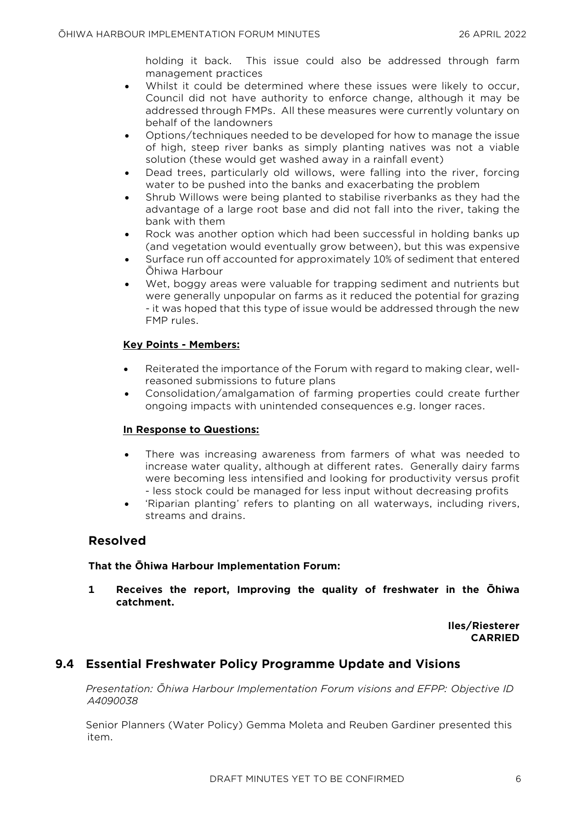holding it back. This issue could also be addressed through farm management practices

- Whilst it could be determined where these issues were likely to occur, Council did not have authority to enforce change, although it may be addressed through FMPs. All these measures were currently voluntary on behalf of the landowners
- Options/techniques needed to be developed for how to manage the issue of high, steep river banks as simply planting natives was not a viable solution (these would get washed away in a rainfall event)
- Dead trees, particularly old willows, were falling into the river, forcing water to be pushed into the banks and exacerbating the problem
- Shrub Willows were being planted to stabilise riverbanks as they had the advantage of a large root base and did not fall into the river, taking the bank with them
- Rock was another option which had been successful in holding banks up (and vegetation would eventually grow between), but this was expensive
- Surface run off accounted for approximately 10% of sediment that entered Ōhiwa Harbour
- Wet, boggy areas were valuable for trapping sediment and nutrients but were generally unpopular on farms as it reduced the potential for grazing - it was hoped that this type of issue would be addressed through the new FMP rules.

#### **Key Points - Members:**

- Reiterated the importance of the Forum with regard to making clear, wellreasoned submissions to future plans
- Consolidation/amalgamation of farming properties could create further ongoing impacts with unintended consequences e.g. longer races.

#### **In Response to Questions:**

- There was increasing awareness from farmers of what was needed to increase water quality, although at different rates. Generally dairy farms were becoming less intensified and looking for productivity versus profit - less stock could be managed for less input without decreasing profits
- 'Riparian planting' refers to planting on all waterways, including rivers, streams and drains.

## **Resolved**

#### **That the Ōhiwa Harbour Implementation Forum:**

**1 Receives the report, Improving the quality of freshwater in the Ōhiwa catchment.**

> **Iles/Riesterer CARRIED**

## **9.4 Essential Freshwater Policy Programme Update and Visions**

*Presentation: Ōhiwa Harbour Implementation Forum visions and EFPP: Objective ID A4090038* 

Senior Planners (Water Policy) Gemma Moleta and Reuben Gardiner presented this item.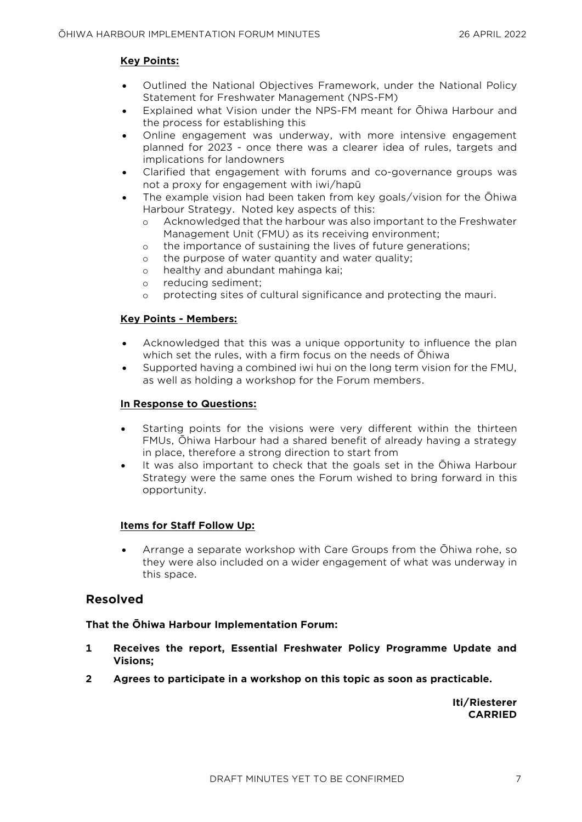#### **Key Points:**

- Outlined the National Objectives Framework, under the National Policy Statement for Freshwater Management (NPS-FM)
- Explained what Vision under the NPS-FM meant for Ōhiwa Harbour and the process for establishing this
- Online engagement was underway, with more intensive engagement planned for 2023 - once there was a clearer idea of rules, targets and implications for landowners
- Clarified that engagement with forums and co-governance groups was not a proxy for engagement with iwi/hapū
- The example vision had been taken from key goals/vision for the Ōhiwa Harbour Strategy. Noted key aspects of this:
	- o Acknowledged that the harbour was also important to the Freshwater Management Unit (FMU) as its receiving environment;
	- o the importance of sustaining the lives of future generations;
	- o the purpose of water quantity and water quality;
	- o healthy and abundant mahinga kai;
	- o reducing sediment;
	- o protecting sites of cultural significance and protecting the mauri.

#### **Key Points - Members:**

- Acknowledged that this was a unique opportunity to influence the plan which set the rules, with a firm focus on the needs of Ōhiwa
- Supported having a combined iwi hui on the long term vision for the FMU, as well as holding a workshop for the Forum members.

#### **In Response to Questions:**

- Starting points for the visions were very different within the thirteen FMUs, Ōhiwa Harbour had a shared benefit of already having a strategy in place, therefore a strong direction to start from
- It was also important to check that the goals set in the Ōhiwa Harbour Strategy were the same ones the Forum wished to bring forward in this opportunity.

#### **Items for Staff Follow Up:**

• Arrange a separate workshop with Care Groups from the Ōhiwa rohe, so they were also included on a wider engagement of what was underway in this space.

#### **Resolved**

#### **That the Ōhiwa Harbour Implementation Forum:**

- **1 Receives the report, Essential Freshwater Policy Programme Update and Visions;**
- **2 Agrees to participate in a workshop on this topic as soon as practicable.**

**Iti/Riesterer CARRIED**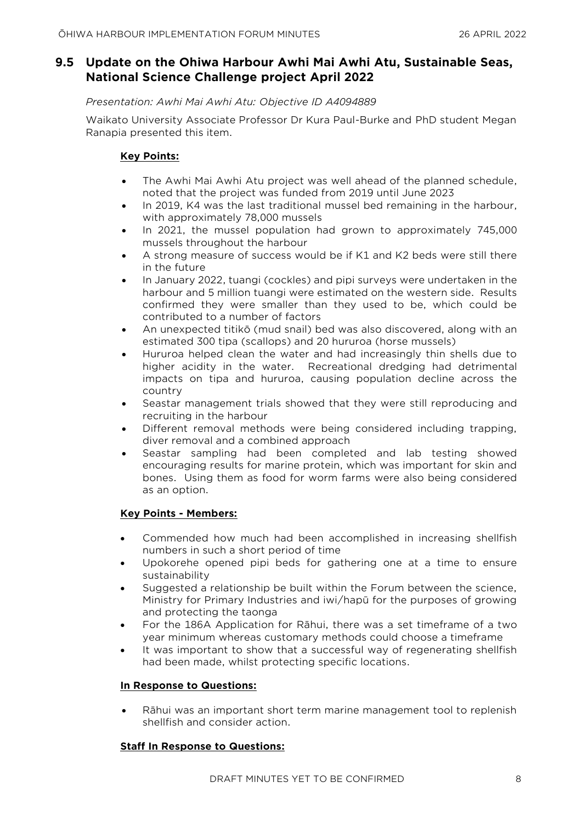# **9.5 Update on the Ohiwa Harbour Awhi Mai Awhi Atu, Sustainable Seas, National Science Challenge project April 2022**

#### *Presentation: Awhi Mai Awhi Atu: Objective ID A4094889*

Waikato University Associate Professor Dr Kura Paul-Burke and PhD student Megan Ranapia presented this item.

#### **Key Points:**

- The Awhi Mai Awhi Atu project was well ahead of the planned schedule, noted that the project was funded from 2019 until June 2023
- In 2019, K4 was the last traditional mussel bed remaining in the harbour, with approximately 78,000 mussels
- In 2021, the mussel population had grown to approximately 745,000 mussels throughout the harbour
- A strong measure of success would be if K1 and K2 beds were still there in the future
- In January 2022, tuangi (cockles) and pipi surveys were undertaken in the harbour and 5 million tuangi were estimated on the western side. Results confirmed they were smaller than they used to be, which could be contributed to a number of factors
- An unexpected titikō (mud snail) bed was also discovered, along with an estimated 300 tipa (scallops) and 20 hururoa (horse mussels)
- Hururoa helped clean the water and had increasingly thin shells due to higher acidity in the water. Recreational dredging had detrimental impacts on tipa and hururoa, causing population decline across the country
- Seastar management trials showed that they were still reproducing and recruiting in the harbour
- Different removal methods were being considered including trapping, diver removal and a combined approach
- Seastar sampling had been completed and lab testing showed encouraging results for marine protein, which was important for skin and bones. Using them as food for worm farms were also being considered as an option.

#### **Key Points - Members:**

- Commended how much had been accomplished in increasing shellfish numbers in such a short period of time
- Upokorehe opened pipi beds for gathering one at a time to ensure sustainability
- Suggested a relationship be built within the Forum between the science, Ministry for Primary Industries and iwi/hapū for the purposes of growing and protecting the taonga
- For the 186A Application for Rāhui, there was a set timeframe of a two year minimum whereas customary methods could choose a timeframe
- It was important to show that a successful way of regenerating shellfish had been made, whilst protecting specific locations.

#### **In Response to Questions:**

• Rāhui was an important short term marine management tool to replenish shellfish and consider action.

#### **Staff In Response to Questions:**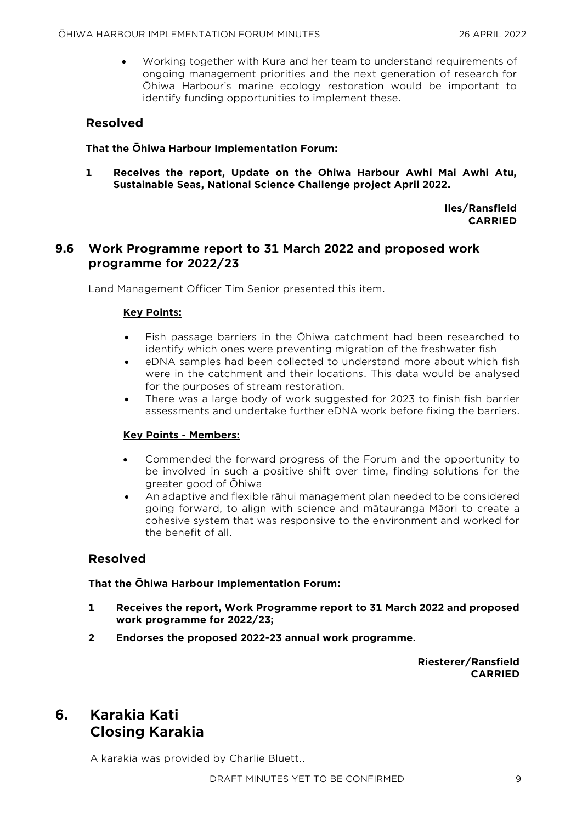• Working together with Kura and her team to understand requirements of ongoing management priorities and the next generation of research for Ōhiwa Harbour's marine ecology restoration would be important to identify funding opportunities to implement these.

# **Resolved**

#### **That the Ōhiwa Harbour Implementation Forum:**

**1 Receives the report, Update on the Ohiwa Harbour Awhi Mai Awhi Atu, Sustainable Seas, National Science Challenge project April 2022.**

> **Iles/Ransfield CARRIED**

# **9.6 Work Programme report to 31 March 2022 and proposed work programme for 2022/23**

Land Management Officer Tim Senior presented this item.

#### **Key Points:**

- Fish passage barriers in the Ōhiwa catchment had been researched to identify which ones were preventing migration of the freshwater fish
- eDNA samples had been collected to understand more about which fish were in the catchment and their locations. This data would be analysed for the purposes of stream restoration.
- There was a large body of work suggested for 2023 to finish fish barrier assessments and undertake further eDNA work before fixing the barriers.

#### **Key Points - Members:**

- Commended the forward progress of the Forum and the opportunity to be involved in such a positive shift over time, finding solutions for the greater good of Ōhiwa
- An adaptive and flexible rāhui management plan needed to be considered going forward, to align with science and mātauranga Māori to create a cohesive system that was responsive to the environment and worked for the benefit of all.

## **Resolved**

#### **That the Ōhiwa Harbour Implementation Forum:**

- **1 Receives the report, Work Programme report to 31 March 2022 and proposed work programme for 2022/23;**
- **2 Endorses the proposed 2022-23 annual work programme.**

**Riesterer/Ransfield CARRIED**

# **6. Karakia Kati Closing Karakia**

A karakia was provided by Charlie Bluett..